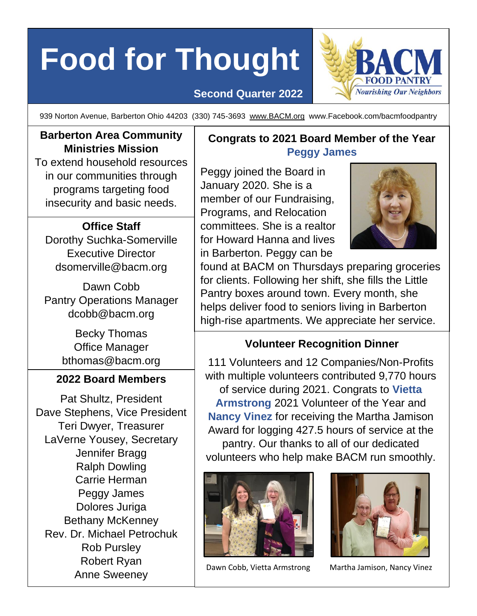# **Food for Thought**

## **Second Quarter 2022**



939 Norton Avenue, Barberton Ohio 44203 (330) 745-3693 [www.BACM.org](http://www.bacm.org/) www.Facebook.com/bacmfoodpantry

## **Barberton Area Community Ministries Mission**

To extend household resources in our communities through programs targeting food insecurity and basic needs.

## **Office Staff**

Dorothy Suchka-Somerville Executive Director [dsomerville@bacm.org](mailto:dsomerville@bacm.org)

Dawn Cobb Pantry Operations Manager [dcobb@bacm.org](mailto:dcobb@bacm.org)

> Becky Thomas Office Manager [bthomas@bacm.org](mailto:bthomas@bacm.org)

## **2022 Board Members**

Pat Shultz, President Dave Stephens, Vice President Teri Dwyer, Treasurer LaVerne Yousey, Secretary Jennifer Bragg Ralph Dowling Carrie Herman Peggy James Dolores Juriga Bethany McKenney Rev. Dr. Michael Petrochuk Rob Pursley Robert Ryan Anne Sweeney

## **Congrats to 2021 Board Member of the Year Peggy James**

Peggy joined the Board in January 2020. She is a member of our Fundraising, Programs, and Relocation committees. She is a realtor for Howard Hanna and lives in Barberton. Peggy can be



found at BACM on Thursdays preparing groceries for clients. Following her shift, she fills the Little Pantry boxes around town. Every month, she helps deliver food to seniors living in Barberton high-rise apartments. We appreciate her service.

## **Volunteer Recognition Dinner**

111 Volunteers and 12 Companies/Non-Profits with multiple volunteers contributed 9,770 hours of service during 2021. Congrats to **Vietta Armstrong** 2021 Volunteer of the Year and **Nancy Vinez** for receiving the Martha Jamison Award for logging 427.5 hours of service at the pantry. Our thanks to all of our dedicated volunteers who help make BACM run smoothly.





Dawn Cobb, Vietta Armstrong Martha Jamison, Nancy Vinez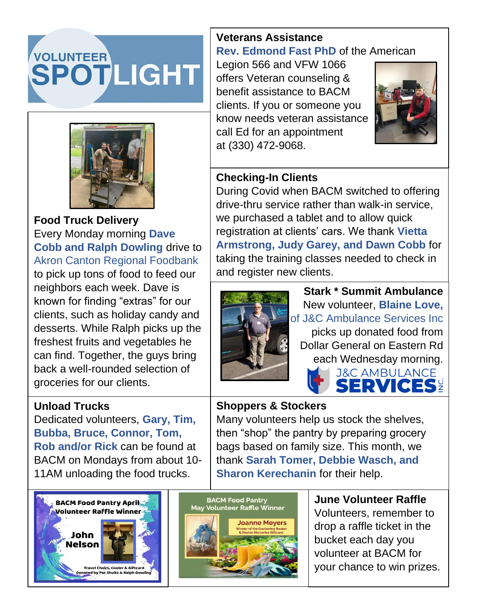## VOLUNTEER **SPOTLIGHT**



**Food Truck Delivery** Every Monday morning **Dave Cobb and Ralph Dowling** drive to Akron Canton Regional Foodbank to pick up tons of food to feed our neighbors each week. Dave is known for finding "extras" for our clients, such as holiday candy and desserts. While Ralph picks up the freshest fruits and vegetables he can find. Together, the guys bring back a well-rounded selection of groceries for our clients.

## **Unload Trucks**

Dedicated volunteers, **Gary, Tim, Bubba, Bruce, Connor, Tom, Rob and/or Rick** can be found at BACM on Mondays from about 10- 11AM unloading the food trucks.





## **Veterans Assistance Rev. Edmond Fast PhD** of the American

Legion 566 and VFW 1066 offers Veteran counseling & benefit assistance to BACM clients. If you or someone you know needs veteran assistance call Ed for an appointment at (330) 472-9068.



## **Checking-In Clients**

During Covid when BACM switched to offering drive-thru service rather than walk-in service, we purchased a tablet and to allow quick registration at clients' cars. We thank **Vietta Armstrong, Judy Garey, and Dawn Cobb** for taking the training classes needed to check in and register new clients.



**Stark \* Summit Ambulance** New volunteer, **Blaine Love,** of J&C Ambulance Services Inc picks up donated food from Dollar General on Eastern Rd each Wednesday morning. **J&C AMBULANCE** 

ERVICES?

## **Shoppers & Stockers**

Many volunteers help us stock the shelves, then "shop" the pantry by preparing grocery bags based on family size. This month, we thank **Sarah Tomer, Debbie Wasch, and Sharon Kerechanin** for their help.

> **June Volunteer Raffle** Volunteers, remember to drop a raffle ticket in the bucket each day you volunteer at BACM for your chance to win prizes.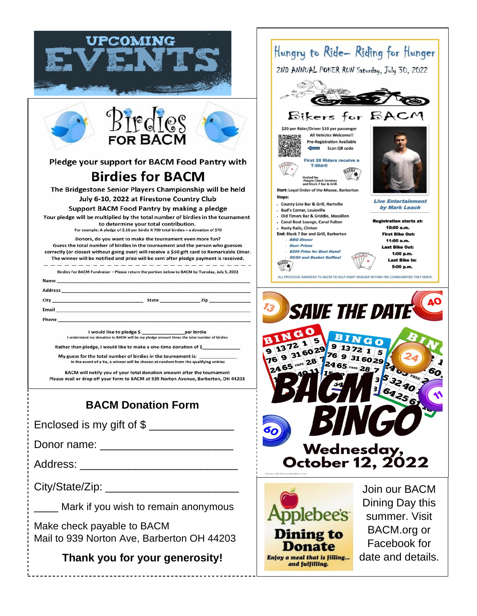| <b>UPCOMING</b><br>Birdies<br><b>FOR BACM</b><br>Pledge your support for BACM Food Pantry with<br><b>Birdies for BACM</b><br>The Bridgestone Senior Players Championship will be held<br>July 6-10, 2022 at Firestone Country Club<br>Support BACM Food Pantry by making a pledge<br>Your pledge will be multiplied by the total number of birdies in the tournament<br>to determine your total contribution.<br>For example: A pledge of \$.10 per birdie X 700 total birdies = a donation of \$70<br>Donors, do you want to make the tournament even more fun?<br>Guess the total number of birdies in the tournament and the person who guesses<br>correctly (or closest without going over) will receive a \$50 gift card to Remarkable Diner.<br>The winner will be notified and prize will be sent after pledge payment is received.<br>Birdies For BACM Fundraiser - Please return the portion below to BACM by Tuesday, July 5, 2022<br>Name_<br>Phone<br>I would like to pledge \$<br>per birdie<br>I understand my donation to BACM will be my pledge amount times the total number of birdies<br>Rather than pledge, I would like to make a one-time donation of \$<br>My guess for the total number of birdies in the tournament is:<br>In the event of a tie, a winner will be chosen at random from the qualifying entries<br>BACM will notify you of your total donation amount after the tournament<br>Please mail or drop off your form to BACM at 939 Norton Avenue, Barberton, OH 44203<br><b>BACM Donation Form</b> | Hungry to Ride-Riding for Hunger<br>2ND ANNUAL POKER RUN Saturday, July 30, 2022<br>Bikers for BAC<br>\$20 per Rider/Driver \$10 per passenger<br>All Vehicles Welcome!!<br><b>Pre-Registration Available</b><br>Scan QR code<br><b>First 20 Riders receive a</b><br><b>T-Shirt!</b><br>losted by:<br><b>People Check Services</b><br>and Block 7 Bar & Grill.<br><b>Start: Loyal Order of the Moose, Barberton</b><br><b>Stops:</b><br><b>Live Entertainment</b><br>. County Line Bar & Grill, Hartville<br>by Mark Leach<br><b>Bud's Corner, Louisville</b><br>. Old Timers Bar & Griddle, Massillon<br><b>Registration starts at:</b><br>- Canal Boat Lounge, Canal Fulton<br>10:00 a.m.<br>- Rusty Railz, Clinton<br><b>End: Block 7 Bar and Grill, Barberton</b><br><b>First Bike Out:</b><br>. <b>BBO Dinner</b><br>11:00 a.m.<br>Door Prizes<br><b>Last Bike Out:</b><br>. \$200 Prize for Best Hand!<br>1:00 p.m.<br>50/50 and Basket Raffles!<br><b>Last Bike In:</b><br>5:00 p.m.<br>ALL PROCEEDS AWARDED TO BACM TO HELP FIGHT HUNGER WITHIN THE COMMUNITIES THEY SERVE.<br>13<br><b>SAVE THE DATE</b><br>316029 9<br>76<br>316029<br>76<br>24 65 FREE 28<br>24 65 FREE 28 7<br>2400 FRE<br>60<br>$353290$<br>$3290$ |
|-----------------------------------------------------------------------------------------------------------------------------------------------------------------------------------------------------------------------------------------------------------------------------------------------------------------------------------------------------------------------------------------------------------------------------------------------------------------------------------------------------------------------------------------------------------------------------------------------------------------------------------------------------------------------------------------------------------------------------------------------------------------------------------------------------------------------------------------------------------------------------------------------------------------------------------------------------------------------------------------------------------------------------------------------------------------------------------------------------------------------------------------------------------------------------------------------------------------------------------------------------------------------------------------------------------------------------------------------------------------------------------------------------------------------------------------------------------------------------------------------------------------------------------------|---------------------------------------------------------------------------------------------------------------------------------------------------------------------------------------------------------------------------------------------------------------------------------------------------------------------------------------------------------------------------------------------------------------------------------------------------------------------------------------------------------------------------------------------------------------------------------------------------------------------------------------------------------------------------------------------------------------------------------------------------------------------------------------------------------------------------------------------------------------------------------------------------------------------------------------------------------------------------------------------------------------------------------------------------------------------------------------------------------------------------------------------------------------------------------------------------------------------------------|
|                                                                                                                                                                                                                                                                                                                                                                                                                                                                                                                                                                                                                                                                                                                                                                                                                                                                                                                                                                                                                                                                                                                                                                                                                                                                                                                                                                                                                                                                                                                                         | BING                                                                                                                                                                                                                                                                                                                                                                                                                                                                                                                                                                                                                                                                                                                                                                                                                                                                                                                                                                                                                                                                                                                                                                                                                            |
|                                                                                                                                                                                                                                                                                                                                                                                                                                                                                                                                                                                                                                                                                                                                                                                                                                                                                                                                                                                                                                                                                                                                                                                                                                                                                                                                                                                                                                                                                                                                         | Wednesday,                                                                                                                                                                                                                                                                                                                                                                                                                                                                                                                                                                                                                                                                                                                                                                                                                                                                                                                                                                                                                                                                                                                                                                                                                      |
| Address: __________________________________                                                                                                                                                                                                                                                                                                                                                                                                                                                                                                                                                                                                                                                                                                                                                                                                                                                                                                                                                                                                                                                                                                                                                                                                                                                                                                                                                                                                                                                                                             | October 12, 2022                                                                                                                                                                                                                                                                                                                                                                                                                                                                                                                                                                                                                                                                                                                                                                                                                                                                                                                                                                                                                                                                                                                                                                                                                |
| Mark if you wish to remain anonymous<br>Make check payable to BACM<br>Mail to 939 Norton Ave, Barberton OH 44203<br>Thank you for your generosity!                                                                                                                                                                                                                                                                                                                                                                                                                                                                                                                                                                                                                                                                                                                                                                                                                                                                                                                                                                                                                                                                                                                                                                                                                                                                                                                                                                                      | Join our BACM<br>Dining Day this<br>summer. Visit<br>BACM.org or<br><b>Dining to</b><br>Facebook for<br>Donate<br>date and details.<br>Enjoy a meal that is filling<br>and fulfilling.                                                                                                                                                                                                                                                                                                                                                                                                                                                                                                                                                                                                                                                                                                                                                                                                                                                                                                                                                                                                                                          |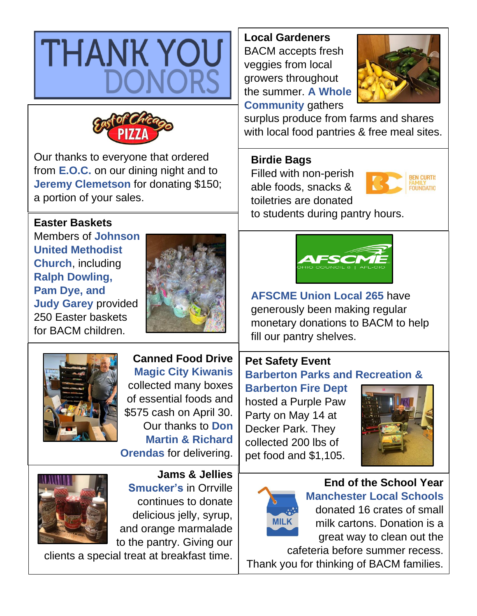

**Local Gardeners** BACM accepts fresh veggies from local growers throughout the summer. **A Whole Community** gathers



surplus produce from farms and shares with local food pantries & free meal sites.

## **Birdie Bags**

Filled with non-perish able foods, snacks & toiletries are donated



to students during pantry hours.





**AFSCME Union Local 265** have generously been making regular monetary donations to BACM to help fill our pantry shelves.

## **Pet Safety Event Barberton Parks and Recreation &**

**Barberton Fire Dept** hosted a Purple Paw Party on May 14 at Decker Park. They collected 200 lbs of pet food and \$1,105.





cafeteria before summer recess. Thank you for thinking of BACM families.



Our thanks to everyone that ordered from **E.O.C.** on our dining night and to **Jeremy Clemetson** for donating \$150; a portion of your sales.

## **Easter Baskets**

Members of **Johnson United Methodist Church**, including **Ralph Dowling, Pam Dye, and Judy Garey** provided 250 Easter baskets for BACM children.





**Canned Food Drive Magic City Kiwanis** collected many boxes of essential foods and \$575 cash on April 30. Our thanks to **Don Martin & Richard Orendas** for delivering.



**Jams & Jellies Smucker's** in Orrville continues to donate delicious jelly, syrup, and orange marmalade to the pantry. Giving our

clients a special treat at breakfast time.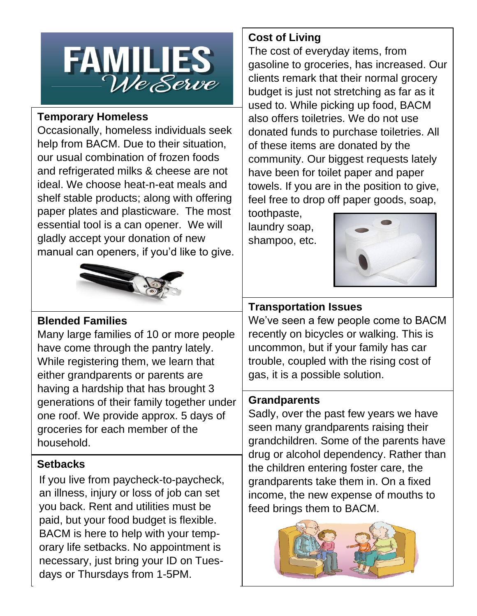

#### **Temporary Homeless**

Occasionally, homeless individuals seek help from BACM. Due to their situation, our usual combination of frozen foods and refrigerated milks & cheese are not ideal. We choose heat-n-eat meals and shelf stable products; along with offering paper plates and plasticware. The most essential tool is a can opener. We will gladly accept your donation of new manual can openers, if you'd like to give.



## **Blended Families**

Many large families of 10 or more people have come through the pantry lately. While registering them, we learn that either grandparents or parents are having a hardship that has brought 3 generations of their family together under one roof. We provide approx. 5 days of groceries for each member of the household.

## **Setbacks**

If you live from paycheck-to-paycheck, an illness, injury or loss of job can set you back. Rent and utilities must be paid, but your food budget is flexible. BACM is here to help with your temporary life setbacks. No appointment is necessary, just bring your ID on Tuesdays or Thursdays from 1-5PM.

## **Cost of Living**

The cost of everyday items, from gasoline to groceries, has increased. Our clients remark that their normal grocery budget is just not stretching as far as it used to. While picking up food, BACM also offers toiletries. We do not use donated funds to purchase toiletries. All of these items are donated by the community. Our biggest requests lately have been for toilet paper and paper towels. If you are in the position to give, feel free to drop off paper goods, soap,

toothpaste, laundry soap, shampoo, etc.



## **Transportation Issues**

We've seen a few people come to BACM recently on bicycles or walking. This is uncommon, but if your family has car trouble, coupled with the rising cost of gas, it is a possible solution.

## **Grandparents**

Sadly, over the past few years we have seen many grandparents raising their grandchildren. Some of the parents have drug or alcohol dependency. Rather than the children entering foster care, the grandparents take them in. On a fixed income, the new expense of mouths to feed brings them to BACM.